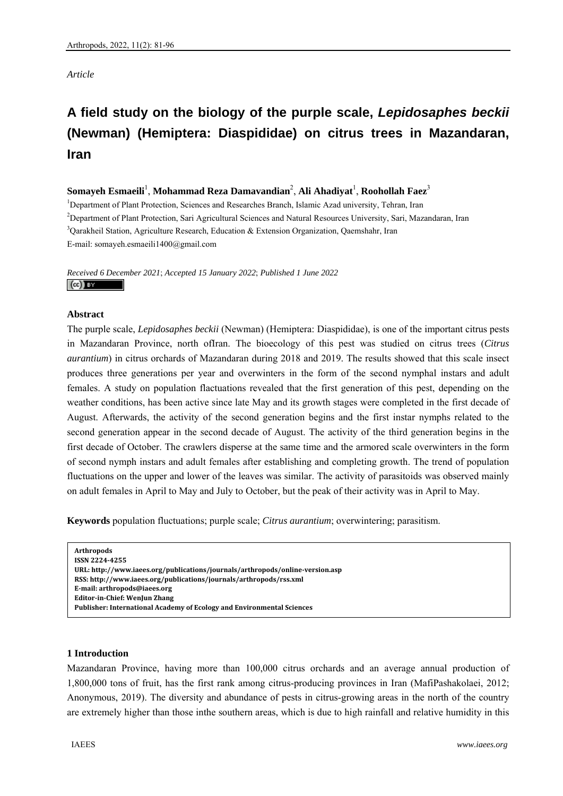## *Article*

# **A field study on the biology of the purple scale,** *Lepidosaphes beckii* **(Newman) (Hemiptera: Diaspididae) on citrus trees in Mazandaran, Iran**

# $\boldsymbol{\mathrm{Som}}$ ayeh Esmaeili<sup>1</sup>, Mohammad Reza Damavandian<sup>2</sup>, Ali Ahadiyat<sup>1</sup>, Roohollah Faez $^3$

<sup>1</sup>Department of Plant Protection, Sciences and Researches Branch, Islamic Azad university, Tehran, Iran 2 Department of Plant Protection, Sari Agricultural Sciences and Natural Resources University, Sari, Mazandaran, Iran <sup>3</sup>Qarakheil Station, Agriculture Research, Education & Extension Organization, Qaemshahr, Iran E-mail: somayeh.esmaeili1400@gmail.com

*Received 6 December 2021*; *Accepted 15 January 2022*; *Published 1 June 2022*   $(cc)$  av

## **Abstract**

The purple scale, *Lepidosaphes beckii* (Newman) (Hemiptera: Diaspididae), is one of the important citrus pests in Mazandaran Province, north ofIran. The bioecology of this pest was studied on citrus trees (*Citrus aurantium*) in citrus orchards of Mazandaran during 2018 and 2019. The results showed that this scale insect produces three generations per year and overwinters in the form of the second nymphal instars and adult females. A study on population flactuations revealed that the first generation of this pest, depending on the weather conditions, has been active since late May and its growth stages were completed in the first decade of August. Afterwards, the activity of the second generation begins and the first instar nymphs related to the second generation appear in the second decade of August. The activity of the third generation begins in the first decade of October. The crawlers disperse at the same time and the armored scale overwinters in the form of second nymph instars and adult females after establishing and completing growth. The trend of population fluctuations on the upper and lower of the leaves was similar. The activity of parasitoids was observed mainly on adult females in April to May and July to October, but the peak of their activity was in April to May.

**Keywords** population fluctuations; purple scale; *Citrus aurantium*; overwintering; parasitism.

| <b>Arthropods</b>                                                             |
|-------------------------------------------------------------------------------|
| ISSN 2224-4255                                                                |
| URL: http://www.iaees.org/publications/journals/arthropods/online-version.asp |
| RSS: http://www.iaees.org/publications/journals/arthropods/rss.xml            |
| E-mail: arthropods@iaees.org                                                  |
| <b>Editor-in-Chief: WenJun Zhang</b>                                          |
| Publisher: International Academy of Ecology and Environmental Sciences        |
|                                                                               |

## **1 Introduction**

Mazandaran Province, having more than 100,000 citrus orchards and an average annual production of 1,800,000 tons of fruit, has the first rank among citrus-producing provinces in Iran (MafiPashakolaei, 2012; Anonymous, 2019). The diversity and abundance of pests in citrus-growing areas in the north of the country are extremely higher than those inthe southern areas, which is due to high rainfall and relative humidity in this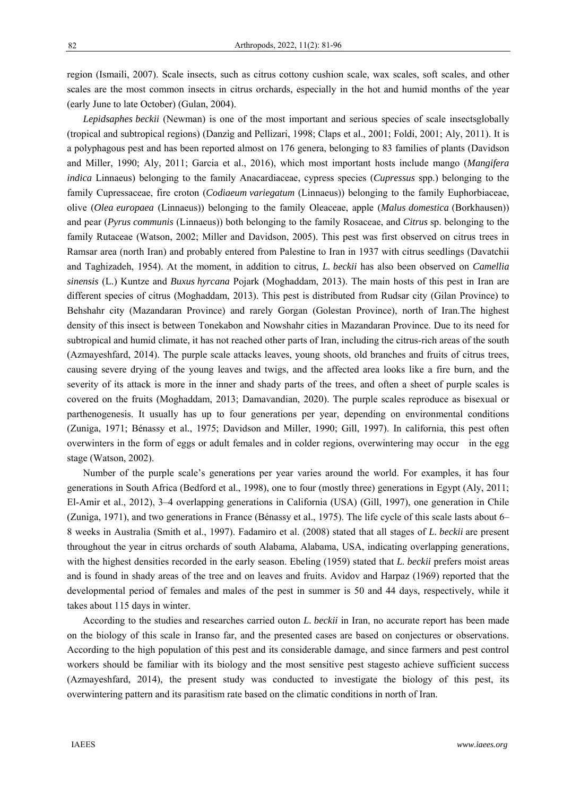region (Ismaili, 2007). Scale insects, such as citrus cottony cushion scale, wax scales, soft scales, and other scales are the most common insects in citrus orchards, especially in the hot and humid months of the year (early June to late October) (Gulan, 2004).

*Lepidsaphes beckii* (Newman) is one of the most important and serious species of scale insectsglobally (tropical and subtropical regions) (Danzig and Pellizari, 1998; Claps et al., 2001; Foldi, 2001; Aly, 2011). It is a polyphagous pest and has been reported almost on 176 genera, belonging to 83 families of plants (Davidson and Miller, 1990; Aly, 2011; Garcia et al., 2016), which most important hosts include mango (*Mangifera indica* Linnaeus) belonging to the family Anacardiaceae, cypress species (*Cupressus* spp.) belonging to the family Cupressaceae, fire croton (*Codiaeum variegatum* (Linnaeus)) belonging to the family Euphorbiaceae, olive (*Olea europaea* (Linnaeus)) belonging to the family Oleaceae, apple (*Malus domestica* (Borkhausen)) and pear (*Pyrus communis* (Linnaeus)) both belonging to the family Rosaceae, and *Citrus* sp. belonging to the family Rutaceae (Watson, 2002; Miller and Davidson, 2005). This pest was first observed on citrus trees in Ramsar area (north Iran) and probably entered from Palestine to Iran in 1937 with citrus seedlings (Davatchii and Taghizadeh, 1954). At the moment, in addition to citrus, *L. beckii* has also been observed on *Camellia sinensis* (L.) Kuntze and *Buxus hyrcana* Pojark (Moghaddam, 2013). The main hosts of this pest in Iran are different species of citrus (Moghaddam, 2013). This pest is distributed from Rudsar city (Gilan Province) to Behshahr city (Mazandaran Province) and rarely Gorgan (Golestan Province), north of Iran.The highest density of this insect is between Tonekabon and Nowshahr cities in Mazandaran Province. Due to its need for subtropical and humid climate, it has not reached other parts of Iran, including the citrus-rich areas of the south (Azmayeshfard, 2014). The purple scale attacks leaves, young shoots, old branches and fruits of citrus trees, causing severe drying of the young leaves and twigs, and the affected area looks like a fire burn, and the severity of its attack is more in the inner and shady parts of the trees, and often a sheet of purple scales is covered on the fruits (Moghaddam, 2013; Damavandian, 2020). The purple scales reproduce as bisexual or parthenogenesis. It usually has up to four generations per year, depending on environmental conditions (Zuniga, 1971; Bénassy et al*.*, 1975; Davidson and Miller, 1990; Gill, 1997). In california, this pest often overwinters in the form of eggs or adult females and in colder regions, overwintering may occur in the egg stage (Watson, 2002).

Number of the purple scale's generations per year varies around the world. For examples, it has four generations in South Africa (Bedford et al., 1998), one to four (mostly three) generations in Egypt (Aly, 2011; El-Amir et al., 2012), 3–4 overlapping generations in California (USA) (Gill, 1997), one generation in Chile (Zuniga, 1971), and two generations in France (Bénassy et al., 1975). The life cycle of this scale lasts about 6– 8 weeks in Australia (Smith et al., 1997). Fadamiro et al. (2008) stated that all stages of *L. beckii* are present throughout the year in citrus orchards of south Alabama, Alabama, USA, indicating overlapping generations, with the highest densities recorded in the early season. Ebeling (1959) stated that *L. beckii* prefers moist areas and is found in shady areas of the tree and on leaves and fruits. Avidov and Harpaz (1969) reported that the developmental period of females and males of the pest in summer is 50 and 44 days, respectively, while it takes about 115 days in winter.

According to the studies and researches carried outon *L. beckii* in Iran, no accurate report has been made on the biology of this scale in Iranso far, and the presented cases are based on conjectures or observations. According to the high population of this pest and its considerable damage, and since farmers and pest control workers should be familiar with its biology and the most sensitive pest stagesto achieve sufficient success (Azmayeshfard, 2014), the present study was conducted to investigate the biology of this pest, its overwintering pattern and its parasitism rate based on the climatic conditions in north of Iran.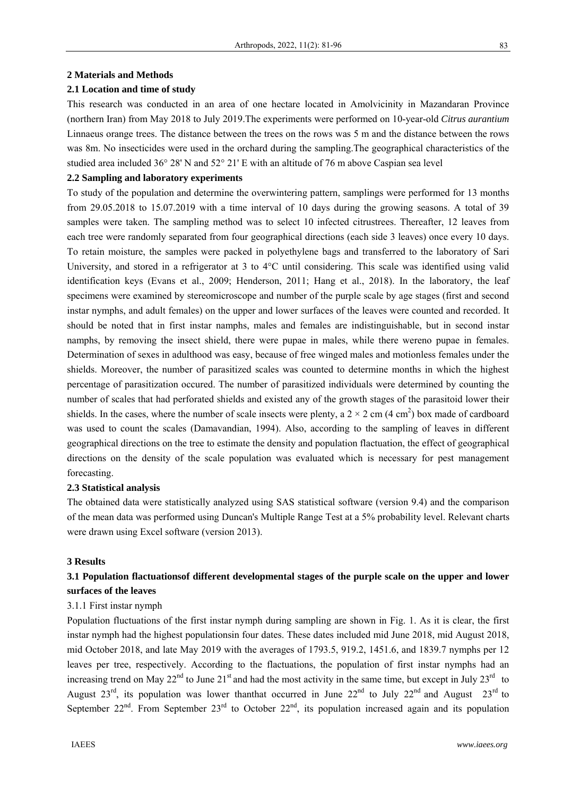#### **2 Materials and Methods**

### **2.1 Location and time of study**

This research was conducted in an area of one hectare located in Amolvicinity in Mazandaran Province (northern Iran) from May 2018 to July 2019.The experiments were performed on 10-year-old *Citrus aurantium* Linnaeus orange trees. The distance between the trees on the rows was 5 m and the distance between the rows was 8m. No insecticides were used in the orchard during the sampling.The geographical characteristics of the studied area included 36° 28' N and 52° 21' E with an altitude of 76 m above Caspian sea level

## **2.2 Sampling and laboratory experiments**

To study of the population and determine the overwintering pattern, samplings were performed for 13 months from 29.05.2018 to 15.07.2019 with a time interval of 10 days during the growing seasons. A total of 39 samples were taken. The sampling method was to select 10 infected citrustrees. Thereafter, 12 leaves from each tree were randomly separated from four geographical directions (each side 3 leaves) once every 10 days. To retain moisture, the samples were packed in polyethylene bags and transferred to the laboratory of Sari University, and stored in a refrigerator at 3 to 4°C until considering. This scale was identified using valid identification keys (Evans et al., 2009; Henderson, 2011; Hang et al., 2018). In the laboratory, the leaf specimens were examined by stereomicroscope and number of the purple scale by age stages (first and second instar nymphs, and adult females) on the upper and lower surfaces of the leaves were counted and recorded. It should be noted that in first instar namphs, males and females are indistinguishable, but in second instar namphs, by removing the insect shield, there were pupae in males, while there wereno pupae in females. Determination of sexes in adulthood was easy, because of free winged males and motionless females under the shields. Moreover, the number of parasitized scales was counted to determine months in which the highest percentage of parasitization occured. The number of parasitized individuals were determined by counting the number of scales that had perforated shields and existed any of the growth stages of the parasitoid lower their shields. In the cases, where the number of scale insects were plenty, a  $2 \times 2$  cm (4 cm<sup>2</sup>) box made of cardboard was used to count the scales (Damavandian, 1994). Also, according to the sampling of leaves in different geographical directions on the tree to estimate the density and population flactuation, the effect of geographical directions on the density of the scale population was evaluated which is necessary for pest management forecasting.

#### **2.3 Statistical analysis**

The obtained data were statistically analyzed using SAS statistical software (version 9.4) and the comparison of the mean data was performed using Duncan's Multiple Range Test at a 5% probability level. Relevant charts were drawn using Excel software (version 2013).

#### **3 Results**

# **3.1 Population flactuationsof different developmental stages of the purple scale on the upper and lower surfaces of the leaves**

## 3.1.1 First instar nymph

Population fluctuations of the first instar nymph during sampling are shown in Fig. 1. As it is clear, the first instar nymph had the highest populationsin four dates. These dates included mid June 2018, mid August 2018, mid October 2018, and late May 2019 with the averages of 1793.5, 919.2, 1451.6, and 1839.7 nymphs per 12 leaves per tree, respectively. According to the flactuations, the population of first instar nymphs had an increasing trend on May  $22^{nd}$  to June  $21^{st}$  and had the most activity in the same time, but except in July  $23^{rd}$  to August  $23^{\text{rd}}$ , its population was lower thanthat occurred in June  $22^{\text{nd}}$  to July  $22^{\text{nd}}$  and August  $23^{\text{rd}}$  to September  $22^{nd}$ . From September  $23^{rd}$  to October  $22^{nd}$ , its population increased again and its population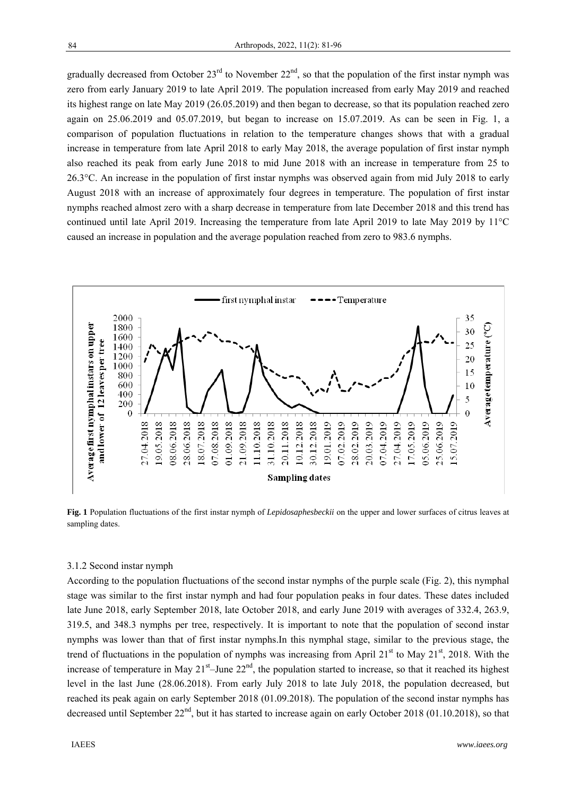gradually decreased from October  $23^{rd}$  to November  $22^{nd}$ , so that the population of the first instar nymph was zero from early January 2019 to late April 2019. The population increased from early May 2019 and reached its highest range on late May 2019 (26.05.2019) and then began to decrease, so that its population reached zero again on 25.06.2019 and 05.07.2019, but began to increase on 15.07.2019. As can be seen in Fig. 1, a comparison of population fluctuations in relation to the temperature changes shows that with a gradual increase in temperature from late April 2018 to early May 2018, the average population of first instar nymph also reached its peak from early June 2018 to mid June 2018 with an increase in temperature from 25 to 26.3°C. An increase in the population of first instar nymphs was observed again from mid July 2018 to early August 2018 with an increase of approximately four degrees in temperature. The population of first instar nymphs reached almost zero with a sharp decrease in temperature from late December 2018 and this trend has continued until late April 2019. Increasing the temperature from late April 2019 to late May 2019 by 11°C caused an increase in population and the average population reached from zero to 983.6 nymphs.



**Fig. 1** Population fluctuations of the first instar nymph of *Lepidosaphesbeckii* on the upper and lower surfaces of citrus leaves at sampling dates.

## 3.1.2 Second instar nymph

According to the population fluctuations of the second instar nymphs of the purple scale (Fig. 2), this nymphal stage was similar to the first instar nymph and had four population peaks in four dates. These dates included late June 2018, early September 2018, late October 2018, and early June 2019 with averages of 332.4, 263.9, 319.5, and 348.3 nymphs per tree, respectively. It is important to note that the population of second instar nymphs was lower than that of first instar nymphs.In this nymphal stage, similar to the previous stage, the trend of fluctuations in the population of nymphs was increasing from April 21 $^{\text{st}}$  to May 21 $^{\text{st}}$ , 2018. With the increase of temperature in May  $21<sup>st</sup>$ –June  $22<sup>nd</sup>$ , the population started to increase, so that it reached its highest level in the last June (28.06.2018). From early July 2018 to late July 2018, the population decreased, but reached its peak again on early September 2018 (01.09.2018). The population of the second instar nymphs has decreased until September  $22<sup>nd</sup>$ , but it has started to increase again on early October 2018 (01.10.2018), so that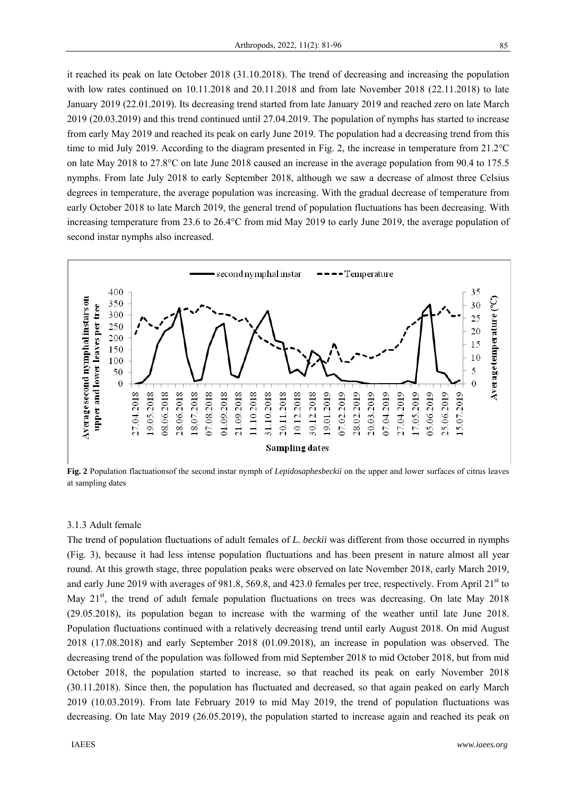it reached its peak on late October 2018 (31.10.2018). The trend of decreasing and increasing the population with low rates continued on 10.11.2018 and 20.11.2018 and from late November 2018 (22.11.2018) to late January 2019 (22.01.2019). Its decreasing trend started from late January 2019 and reached zero on late March 2019 (20.03.2019) and this trend continued until 27.04.2019. The population of nymphs has started to increase from early May 2019 and reached its peak on early June 2019. The population had a decreasing trend from this time to mid July 2019. According to the diagram presented in Fig. 2, the increase in temperature from 21.2°C on late May 2018 to 27.8°C on late June 2018 caused an increase in the average population from 90.4 to 175.5 nymphs. From late July 2018 to early September 2018, although we saw a decrease of almost three Celsius degrees in temperature, the average population was increasing. With the gradual decrease of temperature from early October 2018 to late March 2019, the general trend of population fluctuations has been decreasing. With increasing temperature from 23.6 to 26.4°C from mid May 2019 to early June 2019, the average population of second instar nymphs also increased.



**Fig. 2** Population flactuationsof the second instar nymph of *Lepidosaphesbeckii* on the upper and lower surfaces of citrus leaves at sampling dates

## 3.1.3 Adult female

The trend of population fluctuations of adult females of *L. beckii* was different from those occurred in nymphs (Fig. 3), because it had less intense population fluctuations and has been present in nature almost all year round. At this growth stage, three population peaks were observed on late November 2018, early March 2019, and early June 2019 with averages of 981.8, 569.8, and 423.0 females per tree, respectively. From April 21<sup>st</sup> to May 21<sup>st</sup>, the trend of adult female population fluctuations on trees was decreasing. On late May 2018 (29.05.2018), its population began to increase with the warming of the weather until late June 2018. Population fluctuations continued with a relatively decreasing trend until early August 2018. On mid August 2018 (17.08.2018) and early September 2018 (01.09.2018), an increase in population was observed. The decreasing trend of the population was followed from mid September 2018 to mid October 2018, but from mid October 2018, the population started to increase, so that reached its peak on early November 2018 (30.11.2018). Since then, the population has fluctuated and decreased, so that again peaked on early March 2019 (10.03.2019). From late February 2019 to mid May 2019, the trend of population fluctuations was decreasing. On late May 2019 (26.05.2019), the population started to increase again and reached its peak on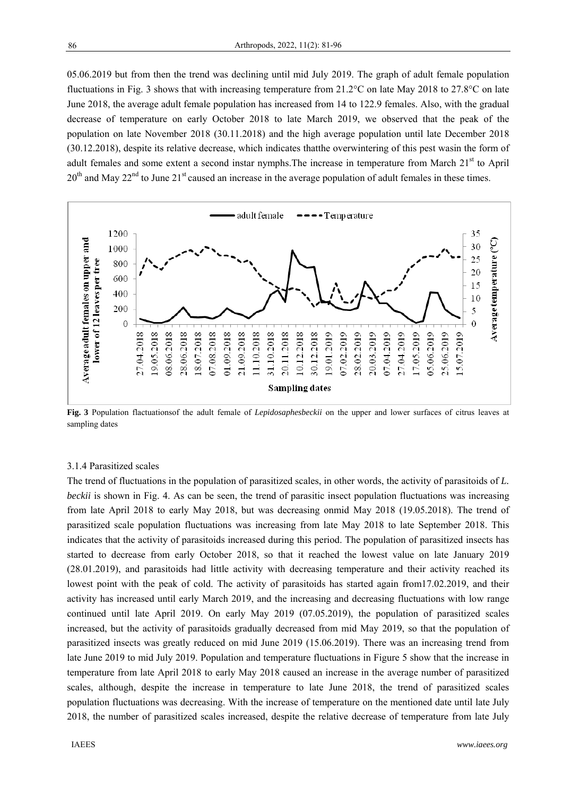05.06.2019 but from then the trend was declining until mid July 2019. The graph of adult female population fluctuations in Fig. 3 shows that with increasing temperature from 21.2°C on late May 2018 to 27.8°C on late June 2018, the average adult female population has increased from 14 to 122.9 females. Also, with the gradual decrease of temperature on early October 2018 to late March 2019, we observed that the peak of the population on late November 2018 (30.11.2018) and the high average population until late December 2018 (30.12.2018), despite its relative decrease, which indicates thatthe overwintering of this pest wasin the form of adult females and some extent a second instar nymphs. The increase in temperature from March  $21<sup>st</sup>$  to April  $20<sup>th</sup>$  and May  $22<sup>nd</sup>$  to June  $21<sup>st</sup>$  caused an increase in the average population of adult females in these times.



**Fig. 3** Population flactuationsof the adult female of *Lepidosaphesbeckii* on the upper and lower surfaces of citrus leaves at sampling dates

#### 3.1.4 Parasitized scales

The trend of fluctuations in the population of parasitized scales, in other words, the activity of parasitoids of *L. beckii* is shown in Fig. 4. As can be seen, the trend of parasitic insect population fluctuations was increasing from late April 2018 to early May 2018, but was decreasing onmid May 2018 (19.05.2018). The trend of parasitized scale population fluctuations was increasing from late May 2018 to late September 2018. This indicates that the activity of parasitoids increased during this period. The population of parasitized insects has started to decrease from early October 2018, so that it reached the lowest value on late January 2019 (28.01.2019), and parasitoids had little activity with decreasing temperature and their activity reached its lowest point with the peak of cold. The activity of parasitoids has started again from17.02.2019, and their activity has increased until early March 2019, and the increasing and decreasing fluctuations with low range continued until late April 2019. On early May 2019 (07.05.2019), the population of parasitized scales increased, but the activity of parasitoids gradually decreased from mid May 2019, so that the population of parasitized insects was greatly reduced on mid June 2019 (15.06.2019). There was an increasing trend from late June 2019 to mid July 2019. Population and temperature fluctuations in Figure 5 show that the increase in temperature from late April 2018 to early May 2018 caused an increase in the average number of parasitized scales, although, despite the increase in temperature to late June 2018, the trend of parasitized scales population fluctuations was decreasing. With the increase of temperature on the mentioned date until late July 2018, the number of parasitized scales increased, despite the relative decrease of temperature from late July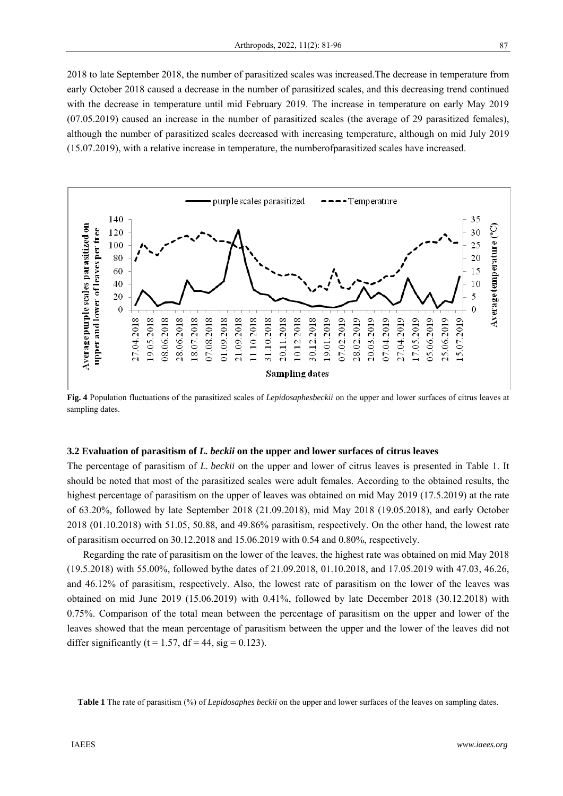2018 to late September 2018, the number of parasitized scales was increased.The decrease in temperature from early October 2018 caused a decrease in the number of parasitized scales, and this decreasing trend continued with the decrease in temperature until mid February 2019. The increase in temperature on early May 2019 (07.05.2019) caused an increase in the number of parasitized scales (the average of 29 parasitized females), although the number of parasitized scales decreased with increasing temperature, although on mid July 2019 (15.07.2019), with a relative increase in temperature, the numberofparasitized scales have increased.



**Fig. 4** Population fluctuations of the parasitized scales of *Lepidosaphesbeckii* on the upper and lower surfaces of citrus leaves at sampling dates.

## **3.2 Evaluation of parasitism of** *L. beckii* **on the upper and lower surfaces of citrus leaves**

The percentage of parasitism of *L. beckii* on the upper and lower of citrus leaves is presented in Table 1. It should be noted that most of the parasitized scales were adult females. According to the obtained results, the highest percentage of parasitism on the upper of leaves was obtained on mid May 2019 (17.5.2019) at the rate of 63.20%, followed by late September 2018 (21.09.2018), mid May 2018 (19.05.2018), and early October 2018 (01.10.2018) with 51.05, 50.88, and 49.86% parasitism, respectively. On the other hand, the lowest rate of parasitism occurred on 30.12.2018 and 15.06.2019 with 0.54 and 0.80%, respectively.

Regarding the rate of parasitism on the lower of the leaves, the highest rate was obtained on mid May 2018 (19.5.2018) with 55.00%, followed bythe dates of 21.09.2018, 01.10.2018, and 17.05.2019 with 47.03, 46.26, and 46.12% of parasitism, respectively. Also, the lowest rate of parasitism on the lower of the leaves was obtained on mid June 2019 (15.06.2019) with 0.41%, followed by late December 2018 (30.12.2018) with 0.75%. Comparison of the total mean between the percentage of parasitism on the upper and lower of the leaves showed that the mean percentage of parasitism between the upper and the lower of the leaves did not differ significantly ( $t = 1.57$ ,  $df = 44$ ,  $sig = 0.123$ ).

**Table 1** The rate of parasitism (%) of *Lepidosaphes beckii* on the upper and lower surfaces of the leaves on sampling dates.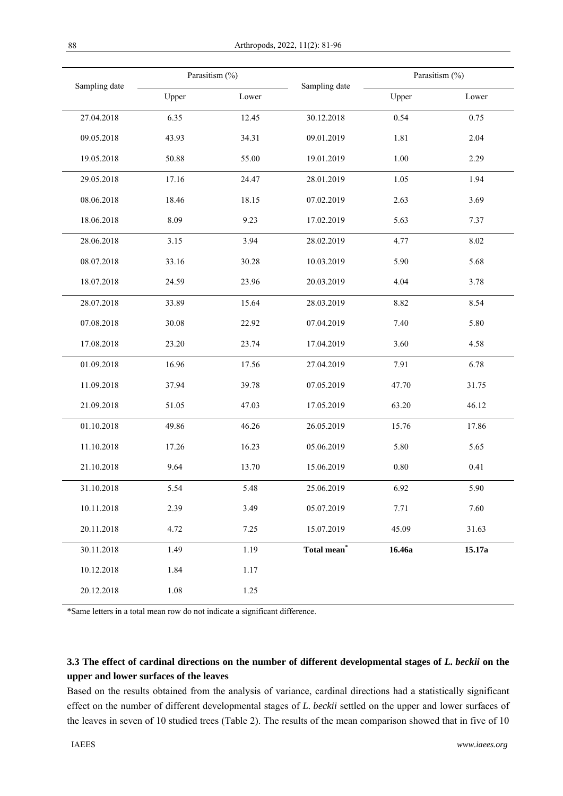|               | Parasitism (%) |       |                                              | Parasitism (%) |        |
|---------------|----------------|-------|----------------------------------------------|----------------|--------|
| Sampling date | Upper          | Lower | Sampling date                                | Upper          | Lower  |
| 27.04.2018    | 6.35           | 12.45 | 30.12.2018                                   | 0.54           | 0.75   |
| 09.05.2018    | 43.93          | 34.31 | 09.01.2019                                   | 1.81           | 2.04   |
| 19.05.2018    | 50.88          | 55.00 | 19.01.2019                                   | 1.00           | 2.29   |
| 29.05.2018    | 17.16          | 24.47 | 28.01.2019                                   | 1.05           | 1.94   |
| 08.06.2018    | 18.46          | 18.15 | 07.02.2019                                   | 2.63           | 3.69   |
| 18.06.2018    | 8.09           | 9.23  | 17.02.2019                                   | 5.63           | 7.37   |
| 28.06.2018    | 3.15           | 3.94  | 28.02.2019                                   | 4.77           | 8.02   |
| 08.07.2018    | 33.16          | 30.28 | 10.03.2019                                   | 5.90           | 5.68   |
| 18.07.2018    | 24.59          | 23.96 | 20.03.2019                                   | 4.04           | 3.78   |
| 28.07.2018    | 33.89          | 15.64 | 28.03.2019                                   | 8.82           | 8.54   |
| 07.08.2018    | 30.08          | 22.92 | 07.04.2019                                   | 7.40           | 5.80   |
| 17.08.2018    | 23.20          | 23.74 | 17.04.2019                                   | 3.60           | 4.58   |
| 01.09.2018    | 16.96          | 17.56 | 27.04.2019                                   | 7.91           | 6.78   |
| 11.09.2018    | 37.94          | 39.78 | 07.05.2019                                   | 47.70          | 31.75  |
| 21.09.2018    | 51.05          | 47.03 | 17.05.2019                                   | 63.20          | 46.12  |
| 01.10.2018    | 49.86          | 46.26 | 26.05.2019                                   | 15.76          | 17.86  |
| 11.10.2018    | 17.26          | 16.23 | 05.06.2019                                   | 5.80           | 5.65   |
| 21.10.2018    | 9.64           | 13.70 | 15.06.2019                                   | 0.80           | 0.41   |
| 31.10.2018    | 5.54           | 5.48  | 25.06.2019                                   | 6.92           | 5.90   |
| 10.11.2018    | 2.39           | 3.49  | 05.07.2019                                   | 7.71           | 7.60   |
| 20.11.2018    | 4.72           | 7.25  | 15.07.2019                                   | 45.09          | 31.63  |
| 30.11.2018    | 1.49           | 1.19  | $\operatorname{\mathsf{Total}}$ mean $^\ast$ | 16.46a         | 15.17a |
| 10.12.2018    | 1.84           | 1.17  |                                              |                |        |
| 20.12.2018    | 1.08           | 1.25  |                                              |                |        |

\*Same letters in a total mean row do not indicate a significant difference.

# **3.3** The effect of cardinal directions on the number of different developmental stages of *L. beckii* on the **upper and lower surfaces of the leaves**

Based on the results obtained from the analysis of variance, cardinal directions had a statistically significant effect on the number of different developmental stages of *L. beckii* settled on the upper and lower surfaces of the leaves in seven of 10 studied trees (Table 2). The results of the mean comparison showed that in five of 10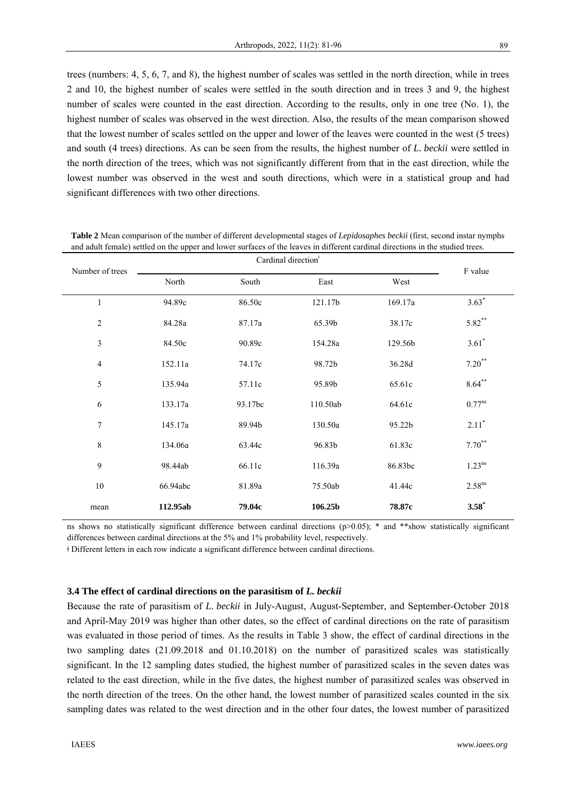trees (numbers: 4, 5, 6, 7, and 8), the highest number of scales was settled in the north direction, while in trees 2 and 10, the highest number of scales were settled in the south direction and in trees 3 and 9, the highest number of scales were counted in the east direction. According to the results, only in one tree (No. 1), the highest number of scales was observed in the west direction. Also, the results of the mean comparison showed that the lowest number of scales settled on the upper and lower of the leaves were counted in the west (5 trees) and south (4 trees) directions. As can be seen from the results, the highest number of *L. beckii* were settled in the north direction of the trees, which was not significantly different from that in the east direction, while the lowest number was observed in the west and south directions, which were in a statistical group and had significant differences with two other directions.

| Number of trees | Cardinal direction <sup>+</sup> |         |          |         | F value              |
|-----------------|---------------------------------|---------|----------|---------|----------------------|
|                 | North                           | South   | East     | West    |                      |
| $\mathbf{1}$    | 94.89c                          | 86.50c  | 121.17b  | 169.17a | $3.63*$              |
| $\sqrt{2}$      | 84.28a                          | 87.17a  | 65.39b   | 38.17c  | $5.82***$            |
| $\mathfrak{Z}$  | 84.50c                          | 90.89c  | 154.28a  | 129.56b | $3.61*$              |
| $\overline{4}$  | 152.11a                         | 74.17c  | 98.72b   | 36.28d  | $7.20***$            |
| 5               | 135.94a                         | 57.11c  | 95.89b   | 65.61c  | $8.64***$            |
| $\sqrt{6}$      | 133.17a                         | 93.17bc | 110.50ab | 64.61c  | $0.77$ <sup>ns</sup> |
| 7               | 145.17a                         | 89.94b  | 130.50a  | 95.22b  | $2.11*$              |
| $\,8\,$         | 134.06a                         | 63.44c  | 96.83b   | 61.83c  | $7.70***$            |
| $\mathbf{9}$    | 98.44ab                         | 66.11c  | 116.39a  | 86.83bc | 1.23 <sup>ns</sup>   |
| 10              | 66.94abc                        | 81.89a  | 75.50ab  | 41.44c  | 2.58 <sup>ns</sup>   |
| mean            | 112.95ab                        | 79.04c  | 106.25b  | 78.87c  | $3.58*$              |

**Table 2** Mean comparison of the number of different developmental stages of *Lepidosaphes beckii* (first, second instar nymphs and adult female) settled on the upper and lower surfaces of the leaves in different cardinal directions in the studied trees.

ns shows no statistically significant difference between cardinal directions ( $p$ >0.05); \* and \*\*show statistically significant differences between cardinal directions at the 5% and 1% probability level, respectively.

ǂ Different letters in each row indicate a significant difference between cardinal directions.

## **3.4 The effect of cardinal directions on the parasitism of** *L. beckii*

Because the rate of parasitism of *L. beckii* in July-August, August-September, and September-October 2018 and April-May 2019 was higher than other dates, so the effect of cardinal directions on the rate of parasitism was evaluated in those period of times. As the results in Table 3 show, the effect of cardinal directions in the two sampling dates (21.09.2018 and 01.10.2018) on the number of parasitized scales was statistically significant. In the 12 sampling dates studied, the highest number of parasitized scales in the seven dates was related to the east direction, while in the five dates, the highest number of parasitized scales was observed in the north direction of the trees. On the other hand, the lowest number of parasitized scales counted in the six sampling dates was related to the west direction and in the other four dates, the lowest number of parasitized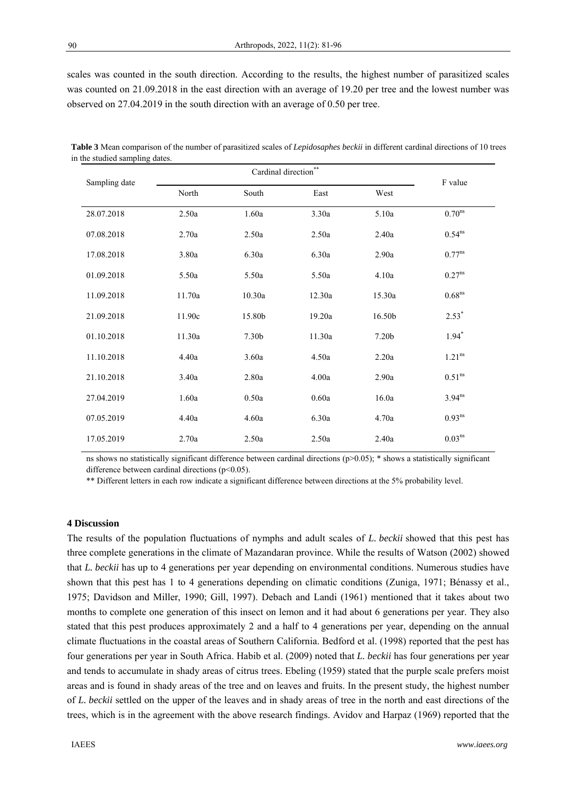scales was counted in the south direction. According to the results, the highest number of parasitized scales was counted on 21.09.2018 in the east direction with an average of 19.20 per tree and the lowest number was observed on 27.04.2019 in the south direction with an average of 0.50 per tree.

| $v = 0$       |        | Cardinal direction | $* *$  |        |                      |
|---------------|--------|--------------------|--------|--------|----------------------|
| Sampling date | North  | South              | East   | West   | F value              |
| 28.07.2018    | 2.50a  | 1.60a              | 3.30a  | 5.10a  | $0.70$ <sup>ns</sup> |
| 07.08.2018    | 2.70a  | 2.50a              | 2.50a  | 2.40a  | 0.54 <sup>ns</sup>   |
| 17.08.2018    | 3.80a  | 6.30a              | 6.30a  | 2.90a  | $0.77^{ns}$          |
| 01.09.2018    | 5.50a  | 5.50a              | 5.50a  | 4.10a  | 0.27 <sup>ns</sup>   |
| 11.09.2018    | 11.70a | 10.30a             | 12.30a | 15.30a | $0.68$ <sup>ns</sup> |
| 21.09.2018    | 11.90c | 15.80b             | 19.20a | 16.50b | $2.53*$              |
| 01.10.2018    | 11.30a | 7.30b              | 11.30a | 7.20b  | $1.94*$              |
| 11.10.2018    | 4.40a  | 3.60a              | 4.50a  | 2.20a  | 1.21 <sup>ns</sup>   |
| 21.10.2018    | 3.40a  | 2.80a              | 4.00a  | 2.90a  | 0.51 <sup>ns</sup>   |
| 27.04.2019    | 1.60a  | 0.50a              | 0.60a  | 16.0a  | $3.94^{ns}$          |
| 07.05.2019    | 4.40a  | 4.60a              | 6.30a  | 4.70a  | $0.93^{ns}$          |
| 17.05.2019    | 2.70a  | 2.50a              | 2.50a  | 2.40a  | 0.03 <sup>ns</sup>   |

**Table 3** Mean comparison of the number of parasitized scales of *Lepidosaphes beckii* in different cardinal directions of 10 trees in the studied sampling dates.

ns shows no statistically significant difference between cardinal directions  $(p>0.05)$ ; \* shows a statistically significant difference between cardinal directions ( $p$ <0.05).

\*\* Different letters in each row indicate a significant difference between directions at the 5% probability level.

## **4 Discussion**

The results of the population fluctuations of nymphs and adult scales of *L. beckii* showed that this pest has three complete generations in the climate of Mazandaran province. While the results of Watson (2002) showed that *L. beckii* has up to 4 generations per year depending on environmental conditions. Numerous studies have shown that this pest has 1 to 4 generations depending on climatic conditions (Zuniga, 1971; Bénassy et al., 1975; Davidson and Miller, 1990; Gill, 1997). Debach and Landi (1961) mentioned that it takes about two months to complete one generation of this insect on lemon and it had about 6 generations per year. They also stated that this pest produces approximately 2 and a half to 4 generations per year, depending on the annual climate fluctuations in the coastal areas of Southern California. Bedford et al. (1998) reported that the pest has four generations per year in South Africa. Habib et al. (2009) noted that *L. beckii* has four generations per year and tends to accumulate in shady areas of citrus trees. Ebeling (1959) stated that the purple scale prefers moist areas and is found in shady areas of the tree and on leaves and fruits. In the present study, the highest number of *L. beckii* settled on the upper of the leaves and in shady areas of tree in the north and east directions of the trees, which is in the agreement with the above research findings. Avidov and Harpaz (1969) reported that the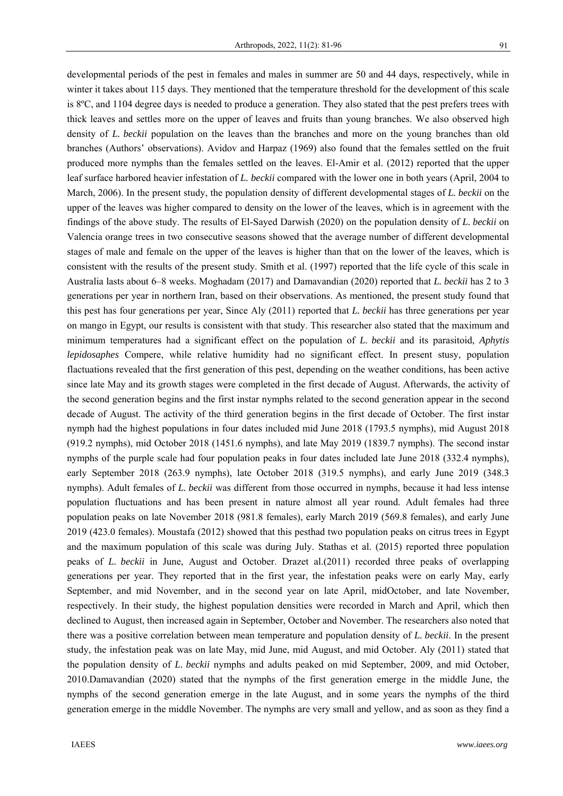developmental periods of the pest in females and males in summer are 50 and 44 days, respectively, while in winter it takes about 115 days. They mentioned that the temperature threshold for the development of this scale is 8ºC, and 1104 degree days is needed to produce a generation. They also stated that the pest prefers trees with thick leaves and settles more on the upper of leaves and fruits than young branches. We also observed high density of *L. beckii* population on the leaves than the branches and more on the young branches than old branches (Authors' observations). Avidov and Harpaz (1969) also found that the females settled on the fruit produced more nymphs than the females settled on the leaves. El-Amir et al. (2012) reported that the upper leaf surface harbored heavier infestation of *L. beckii* compared with the lower one in both years (April, 2004 to March, 2006). In the present study, the population density of different developmental stages of *L. beckii* on the upper of the leaves was higher compared to density on the lower of the leaves, which is in agreement with the findings of the above study. The results of El-Sayed Darwish (2020) on the population density of *L. beckii* on Valencia orange trees in two consecutive seasons showed that the average number of different developmental stages of male and female on the upper of the leaves is higher than that on the lower of the leaves, which is consistent with the results of the present study. Smith et al. (1997) reported that the life cycle of this scale in Australia lasts about 6–8 weeks. Moghadam (2017) and Damavandian (2020) reported that *L. beckii* has 2 to 3 generations per year in northern Iran, based on their observations. As mentioned, the present study found that this pest has four generations per year, Since Aly (2011) reported that *L. beckii* has three generations per year on mango in Egypt, our results is consistent with that study. This researcher also stated that the maximum and minimum temperatures had a significant effect on the population of *L. beckii* and its parasitoid, *Aphytis lepidosaphes* Compere, while relative humidity had no significant effect. In present stusy, population flactuations revealed that the first generation of this pest, depending on the weather conditions, has been active since late May and its growth stages were completed in the first decade of August. Afterwards, the activity of the second generation begins and the first instar nymphs related to the second generation appear in the second decade of August. The activity of the third generation begins in the first decade of October. The first instar nymph had the highest populations in four dates included mid June 2018 (1793.5 nymphs), mid August 2018 (919.2 nymphs), mid October 2018 (1451.6 nymphs), and late May 2019 (1839.7 nymphs). The second instar nymphs of the purple scale had four population peaks in four dates included late June 2018 (332.4 nymphs), early September 2018 (263.9 nymphs), late October 2018 (319.5 nymphs), and early June 2019 (348.3 nymphs). Adult females of *L. beckii* was different from those occurred in nymphs, because it had less intense population fluctuations and has been present in nature almost all year round. Adult females had three population peaks on late November 2018 (981.8 females), early March 2019 (569.8 females), and early June 2019 (423.0 females). Moustafa (2012) showed that this pesthad two population peaks on citrus trees in Egypt and the maximum population of this scale was during July. Stathas et al. (2015) reported three population peaks of *L. beckii* in June, August and October. Drazet al.(2011) recorded three peaks of overlapping generations per year. They reported that in the first year, the infestation peaks were on early May, early September, and mid November, and in the second year on late April, midOctober, and late November, respectively. In their study, the highest population densities were recorded in March and April, which then declined to August, then increased again in September, October and November. The researchers also noted that there was a positive correlation between mean temperature and population density of *L. beckii*. In the present study, the infestation peak was on late May, mid June, mid August, and mid October. Aly (2011) stated that the population density of *L. beckii* nymphs and adults peaked on mid September, 2009, and mid October, 2010.Damavandian (2020) stated that the nymphs of the first generation emerge in the middle June, the nymphs of the second generation emerge in the late August, and in some years the nymphs of the third generation emerge in the middle November. The nymphs are very small and yellow, and as soon as they find a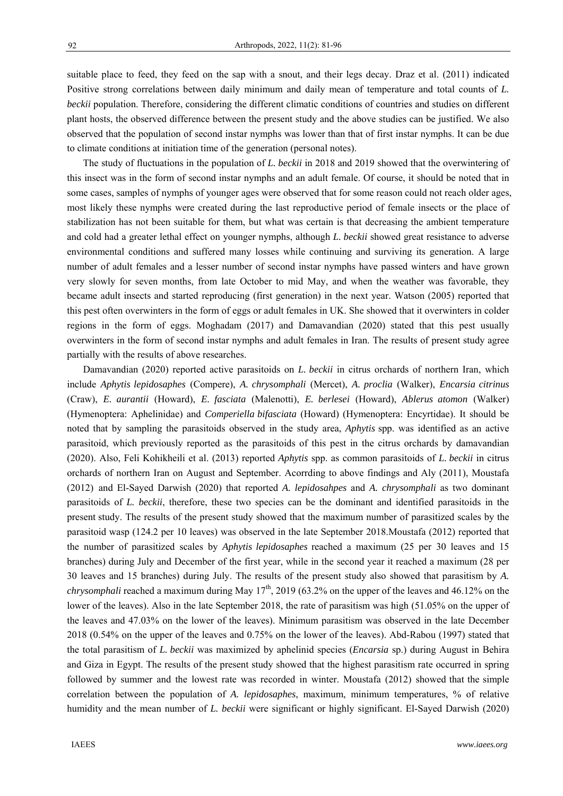suitable place to feed, they feed on the sap with a snout, and their legs decay. Draz et al. (2011) indicated Positive strong correlations between daily minimum and daily mean of temperature and total counts of *L. beckii* population. Therefore, considering the different climatic conditions of countries and studies on different plant hosts, the observed difference between the present study and the above studies can be justified. We also observed that the population of second instar nymphs was lower than that of first instar nymphs. It can be due to climate conditions at initiation time of the generation (personal notes).

The study of fluctuations in the population of *L. beckii* in 2018 and 2019 showed that the overwintering of this insect was in the form of second instar nymphs and an adult female. Of course, it should be noted that in some cases, samples of nymphs of younger ages were observed that for some reason could not reach older ages, most likely these nymphs were created during the last reproductive period of female insects or the place of stabilization has not been suitable for them, but what was certain is that decreasing the ambient temperature and cold had a greater lethal effect on younger nymphs, although *L. beckii* showed great resistance to adverse environmental conditions and suffered many losses while continuing and surviving its generation. A large number of adult females and a lesser number of second instar nymphs have passed winters and have grown very slowly for seven months, from late October to mid May, and when the weather was favorable, they became adult insects and started reproducing (first generation) in the next year. Watson (2005) reported that this pest often overwinters in the form of eggs or adult females in UK. She showed that it overwinters in colder regions in the form of eggs. Moghadam (2017) and Damavandian (2020) stated that this pest usually overwinters in the form of second instar nymphs and adult females in Iran. The results of present study agree partially with the results of above researches.

Damavandian (2020) reported active parasitoids on *L. beckii* in citrus orchards of northern Iran, which include *Aphytis lepidosaphes* (Compere), *A. chrysomphali* (Mercet), *A. proclia* (Walker), *Encarsia citrinus* (Craw), *E. aurantii* (Howard), *E. fasciata* (Malenotti), *E. berlesei* (Howard), *Ablerus atomon* (Walker) (Hymenoptera: Aphelinidae) and *Comperiella bifasciata* (Howard) (Hymenoptera: Encyrtidae). It should be noted that by sampling the parasitoids observed in the study area, *Aphytis* spp. was identified as an active parasitoid, which previously reported as the parasitoids of this pest in the citrus orchards by damavandian (2020). Also, Feli Kohikheili et al. (2013) reported *Aphytis* spp. as common parasitoids of *L. beckii* in citrus orchards of northern Iran on August and September. Acorrding to above findings and Aly (2011), Moustafa (2012) and El-Sayed Darwish (2020) that reported *A. lepidosahpes* and *A. chrysomphali* as two dominant parasitoids of *L. beckii*, therefore, these two species can be the dominant and identified parasitoids in the present study. The results of the present study showed that the maximum number of parasitized scales by the parasitoid wasp (124.2 per 10 leaves) was observed in the late September 2018.Moustafa (2012) reported that the number of parasitized scales by *Aphytis lepidosaphes* reached a maximum (25 per 30 leaves and 15 branches) during July and December of the first year, while in the second year it reached a maximum (28 per 30 leaves and 15 branches) during July. The results of the present study also showed that parasitism by *A. chrysomphali* reached a maximum during May  $17<sup>th</sup>$ , 2019 (63.2% on the upper of the leaves and 46.12% on the lower of the leaves). Also in the late September 2018, the rate of parasitism was high (51.05% on the upper of the leaves and 47.03% on the lower of the leaves). Minimum parasitism was observed in the late December 2018 (0.54% on the upper of the leaves and 0.75% on the lower of the leaves). Abd-Rabou (1997) stated that the total parasitism of *L. beckii* was maximized by aphelinid species (*Encarsia* sp.) during August in Behira and Giza in Egypt. The results of the present study showed that the highest parasitism rate occurred in spring followed by summer and the lowest rate was recorded in winter. Moustafa (2012) showed that the simple correlation between the population of *A. lepidosaphes*, maximum, minimum temperatures, % of relative humidity and the mean number of *L. beckii* were significant or highly significant. El-Sayed Darwish (2020)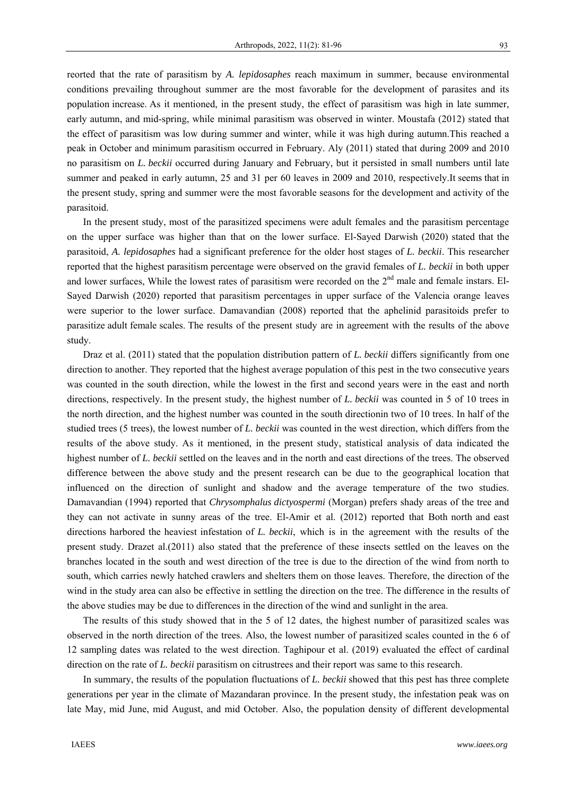reorted that the rate of parasitism by *A. lepidosaphes* reach maximum in summer, because environmental conditions prevailing throughout summer are the most favorable for the development of parasites and its population increase. As it mentioned, in the present study, the effect of parasitism was high in late summer, early autumn, and mid-spring, while minimal parasitism was observed in winter. Moustafa (2012) stated that the effect of parasitism was low during summer and winter, while it was high during autumn.This reached a peak in October and minimum parasitism occurred in February. Aly (2011) stated that during 2009 and 2010 no parasitism on *L. beckii* occurred during January and February, but it persisted in small numbers until late summer and peaked in early autumn, 25 and 31 per 60 leaves in 2009 and 2010, respectively.It seems that in the present study, spring and summer were the most favorable seasons for the development and activity of the parasitoid.

In the present study, most of the parasitized specimens were adult females and the parasitism percentage on the upper surface was higher than that on the lower surface. El-Sayed Darwish (2020) stated that the parasitoid, *A. lepidosaphes* had a significant preference for the older host stages of *L. beckii*. This researcher reported that the highest parasitism percentage were observed on the gravid females of *L. beckii* in both upper and lower surfaces, While the lowest rates of parasitism were recorded on the 2<sup>nd</sup> male and female instars. El-Sayed Darwish (2020) reported that parasitism percentages in upper surface of the Valencia orange leaves were superior to the lower surface. Damavandian (2008) reported that the aphelinid parasitoids prefer to parasitize adult female scales. The results of the present study are in agreement with the results of the above study.

Draz et al. (2011) stated that the population distribution pattern of *L. beckii* differs significantly from one direction to another. They reported that the highest average population of this pest in the two consecutive years was counted in the south direction, while the lowest in the first and second years were in the east and north directions, respectively. In the present study, the highest number of *L. beckii* was counted in 5 of 10 trees in the north direction, and the highest number was counted in the south directionin two of 10 trees. In half of the studied trees (5 trees), the lowest number of *L. beckii* was counted in the west direction, which differs from the results of the above study. As it mentioned, in the present study, statistical analysis of data indicated the highest number of *L. beckii* settled on the leaves and in the north and east directions of the trees. The observed difference between the above study and the present research can be due to the geographical location that influenced on the direction of sunlight and shadow and the average temperature of the two studies. Damavandian (1994) reported that *Chrysomphalus dictyospermi* (Morgan) prefers shady areas of the tree and they can not activate in sunny areas of the tree. El-Amir et al. (2012) reported that Both north and east directions harbored the heaviest infestation of *L. beckii*, which is in the agreement with the results of the present study. Drazet al.(2011) also stated that the preference of these insects settled on the leaves on the branches located in the south and west direction of the tree is due to the direction of the wind from north to south, which carries newly hatched crawlers and shelters them on those leaves. Therefore, the direction of the wind in the study area can also be effective in settling the direction on the tree. The difference in the results of the above studies may be due to differences in the direction of the wind and sunlight in the area.

The results of this study showed that in the 5 of 12 dates, the highest number of parasitized scales was observed in the north direction of the trees. Also, the lowest number of parasitized scales counted in the 6 of 12 sampling dates was related to the west direction. Taghipour et al. (2019) evaluated the effect of cardinal direction on the rate of *L. beckii* parasitism on citrustrees and their report was same to this research.

In summary, the results of the population fluctuations of *L. beckii* showed that this pest has three complete generations per year in the climate of Mazandaran province. In the present study, the infestation peak was on late May, mid June, mid August, and mid October. Also, the population density of different developmental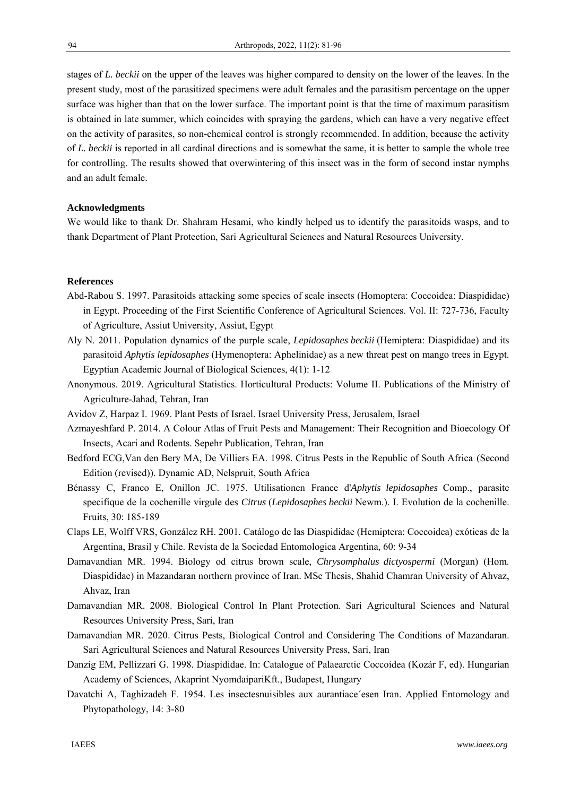stages of *L. beckii* on the upper of the leaves was higher compared to density on the lower of the leaves. In the present study, most of the parasitized specimens were adult females and the parasitism percentage on the upper surface was higher than that on the lower surface. The important point is that the time of maximum parasitism is obtained in late summer, which coincides with spraying the gardens, which can have a very negative effect on the activity of parasites, so non-chemical control is strongly recommended. In addition, because the activity of *L. beckii* is reported in all cardinal directions and is somewhat the same, it is better to sample the whole tree for controlling. The results showed that overwintering of this insect was in the form of second instar nymphs and an adult female.

## **Acknowledgments**

We would like to thank Dr. Shahram Hesami, who kindly helped us to identify the parasitoids wasps, and to thank Department of Plant Protection, Sari Agricultural Sciences and Natural Resources University.

### **References**

- Abd-Rabou S. 1997. Parasitoids attacking some species of scale insects (Homoptera: Coccoidea: Diaspididae) in Egypt. Proceeding of the First Scientific Conference of Agricultural Sciences. Vol. II: 727-736, Faculty of Agriculture, Assiut University, Assiut, Egypt
- Aly N. 2011. Population dynamics of the purple scale, *Lepidosaphes beckii* (Hemiptera: Diaspididae) and its parasitoid *Aphytis lepidosaphes* (Hymenoptera: Aphelinidae) as a new threat pest on mango trees in Egypt. Egyptian Academic Journal of Biological Sciences, 4(1): 1-12
- Anonymous. 2019. Agricultural Statistics. Horticultural Products: Volume II. Publications of the Ministry of Agriculture-Jahad, Tehran, Iran
- Avidov Z, Harpaz I. 1969. Plant Pests of Israel. Israel University Press, Jerusalem, Israel
- Azmayeshfard P. 2014. A Colour Atlas of Fruit Pests and Management: Their Recognition and Bioecology Of Insects, Acari and Rodents. Sepehr Publication, Tehran, Iran
- Bedford ECG,Van den Bery MA, De Villiers EA. 1998. Citrus Pests in the Republic of South Africa (Second Edition (revised)). Dynamic AD, Nelspruit, South Africa
- Bénassy C, Franco E, Onillon JC. 1975. Utilisationen France d'*Aphytis lepidosaphes* Comp., parasite specifique de la cochenille virgule des *Citrus* (*Lepidosaphes beckii* Newm.). I. Evolution de la cochenille. Fruits, 30: 185-189
- Claps LE, Wolff VRS, González RH. 2001. Catálogo de las Diaspididae (Hemiptera: Coccoidea) exóticas de la Argentina, Brasil y Chile. Revista de la Sociedad Entomologica Argentina, 60: 9-34
- Damavandian MR. 1994. Biology od citrus brown scale, *Chrysomphalus dictyospermi* (Morgan) (Hom. Diaspididae) in Mazandaran northern province of Iran. MSc Thesis, Shahid Chamran University of Ahvaz, Ahvaz, Iran
- Damavandian MR. 2008. Biological Control In Plant Protection. Sari Agricultural Sciences and Natural Resources University Press, Sari, Iran
- Damavandian MR. 2020. Citrus Pests, Biological Control and Considering The Conditions of Mazandaran. Sari Agricultural Sciences and Natural Resources University Press, Sari, Iran
- Danzig EM, Pellizzari G. 1998. Diaspididae. In: Catalogue of Palaearctic Coccoidea (Kozár F, ed). Hungarian Academy of Sciences, Akaprint NyomdaipariKft., Budapest, Hungary
- Davatchi A, Taghizadeh F. 1954. Les insectesnuisibles aux aurantiace´esen Iran. Applied Entomology and Phytopathology, 14: 3-80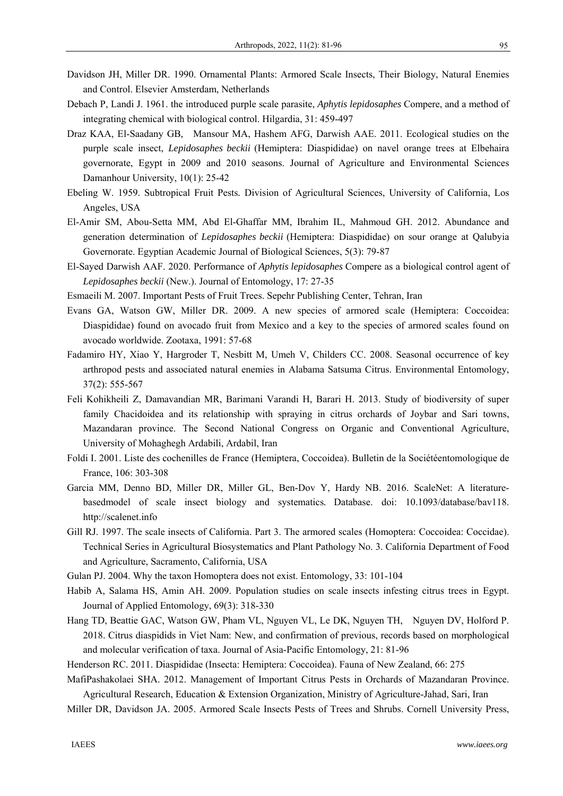- Davidson JH, Miller DR. 1990. Ornamental Plants: Armored Scale Insects, Their Biology, Natural Enemies and Control. Elsevier Amsterdam, Netherlands
- Debach P, Landi J. 1961. the introduced purple scale parasite, *Aphytis lepidosaphes* Compere, and a method of integrating chemical with biological control. Hilgardia, 31: 459-497
- Draz KAA, El-Saadany GB, Mansour MA, Hashem AFG, Darwish AAE. 2011. Ecological studies on the purple scale insect, *Lepidosaphes beckii* (Hemiptera: Diaspididae) on navel orange trees at Elbehaira governorate, Egypt in 2009 and 2010 seasons. Journal of Agriculture and Environmental Sciences Damanhour University, 10(1): 25-42
- Ebeling W. 1959. Subtropical Fruit Pests*.* Division of Agricultural Sciences, University of California, Los Angeles, USA
- El-Amir SM, Abou-Setta MM, Abd El-Ghaffar MM, Ibrahim IL, Mahmoud GH. 2012. Abundance and generation determination of *Lepidosaphes beckii* (Hemiptera: Diaspididae) on sour orange at Qalubyia Governorate. Egyptian Academic Journal of Biological Sciences, 5(3): 79-87
- El-Sayed Darwish AAF. 2020. Performance of *Aphytis lepidosaphes* Compere as a biological control agent of *Lepidosaphes beckii* (New.). Journal of Entomology, 17: 27-35
- Esmaeili M. 2007. Important Pests of Fruit Trees. Sepehr Publishing Center, Tehran, Iran
- Evans GA, Watson GW, Miller DR. 2009. A new species of armored scale (Hemiptera: Coccoidea: Diaspididae) found on avocado fruit from Mexico and a key to the species of armored scales found on avocado worldwide. Zootaxa, 1991: 57-68
- Fadamiro HY, Xiao Y, Hargroder T, Nesbitt M, Umeh V, Childers CC. 2008. Seasonal occurrence of key arthropod pests and associated natural enemies in Alabama Satsuma Citrus. Environmental Entomology, 37(2): 555-567
- Feli Kohikheili Z, Damavandian MR, Barimani Varandi H, Barari H. 2013. Study of biodiversity of super family Chacidoidea and its relationship with spraying in citrus orchards of Joybar and Sari towns, Mazandaran province. The Second National Congress on Organic and Conventional Agriculture, University of Mohaghegh Ardabili, Ardabil, Iran
- Foldi I. 2001. Liste des cochenilles de France (Hemiptera, Coccoidea). Bulletin de la Sociétéentomologique de France, 106: 303-308
- Garcia MM, Denno BD, Miller DR, Miller GL, Ben-Dov Y, Hardy NB. 2016. ScaleNet: A literaturebasedmodel of scale insect biology and systematics*.* Database. doi: 10.1093/database/bav118. http://scalenet.info
- Gill RJ. 1997. The scale insects of California. Part 3. The armored scales (Homoptera: Coccoidea: Coccidae). Technical Series in Agricultural Biosystematics and Plant Pathology No. 3. California Department of Food and Agriculture, Sacramento, California, USA
- Gulan PJ. 2004. Why the taxon Homoptera does not exist. Entomology, 33: 101-104
- Habib A, Salama HS, Amin AH. 2009. Population studies on scale insects infesting citrus trees in Egypt. Journal of Applied Entomology, 69(3): 318-330
- Hang TD, Beattie GAC, Watson GW, Pham VL, Nguyen VL, Le DK, Nguyen TH, Nguyen DV, Holford P. 2018. Citrus diaspidids in Viet Nam: New, and confirmation of previous, records based on morphological and molecular verification of taxa. Journal of Asia-Pacific Entomology, 21: 81-96
- Henderson RC. 2011. Diaspididae (Insecta: Hemiptera: Coccoidea). Fauna of New Zealand, 66: 275
- MafiPashakolaei SHA. 2012. Management of Important Citrus Pests in Orchards of Mazandaran Province. Agricultural Research, Education & Extension Organization, Ministry of Agriculture-Jahad, Sari, Iran
- Miller DR, Davidson JA. 2005. Armored Scale Insects Pests of Trees and Shrubs. Cornell University Press,